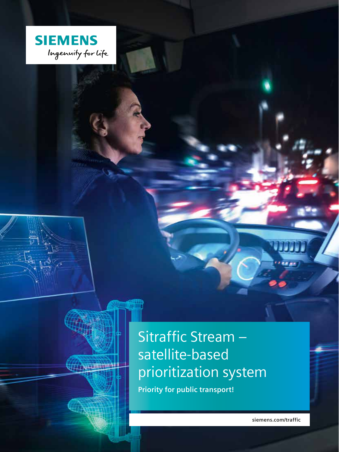

4 Province

TATH

# Sitraffic Stream satellite-based prioritization system

Priority for public transport!

siemens.com/traffic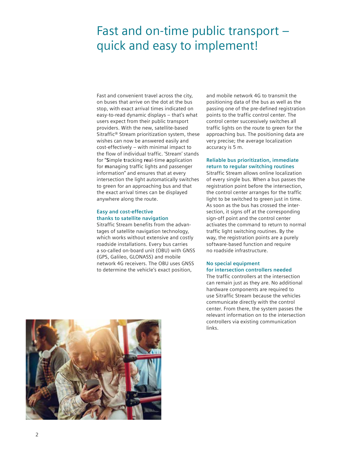## Fast and on-time public transport – quick and easy to implement!

Fast and convenient travel across the city, on buses that arrive on the dot at the bus stop, with exact arrival times indicated on easy-to-read dynamic displays – that's what users expect from their public transport providers. With the new, satellite-based Sitraffic® Stream prioritization system, these wishes can now be answered easily and cost-effectively – with minimal impact to the flow of individual traffic. 'Stream' stands for "**S**imple **t**racking **re**al-time **a**pplication for **m**anaging traffic lights and passenger information" and ensures that at every intersection the light automatically switches to green for an approaching bus and that the exact arrival times can be displayed anywhere along the route.

## **Easy and cost-effective thanks to satellite navigation**

Sitraffic Stream benefits from the advantages of satellite navigation technology, which works without extensive and costly roadside installations. Every bus carries a so-called on-board unit (OBU) with GNSS (GPS, Galileo, GLONASS) and mobile network 4G receivers. The OBU uses GNSS to determine the vehicle's exact position,

and mobile network 4G to transmit the positioning data of the bus as well as the passing one of the pre-defined registration points to the traffic control center. The control center successively switches all traffic lights on the route to green for the approaching bus. The positioning data are very precise; the average localization accuracy is 5 m.

## **Reliable bus prioritization, immediate return to regular switching routines**

Sitraffic Stream allows online localization of every single bus. When a bus passes the registration point before the intersection, the control center arranges for the traffic light to be switched to green just in time. As soon as the bus has crossed the intersection, it signs off at the corresponding sign-off point and the control center activates the command to return to normal traffic light switching routines. By the way, the registration points are a purely software-based function and require no roadside infrastructure.

### **No special equipment for intersection controllers needed**

The traffic controllers at the intersection can remain just as they are. No additional hardware components are required to use Sitraffic Stream because the vehicles communicate directly with the control center. From there, the system passes the relevant information on to the intersection controllers via existing communication links.

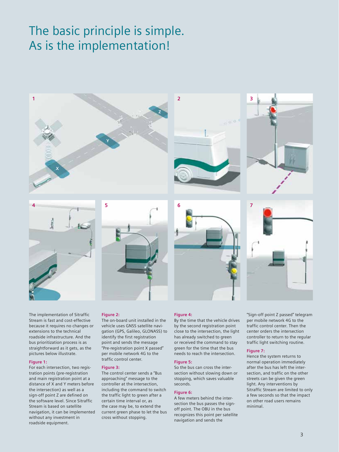## The basic principle is simple. As is the implementation!



The implementation of Sitraffic Stream is fast and cost-effective because it requires no changes or extensions to the technical roadside infrastructure. And the bus prioritization process is as straightforward as it gets, as the pictures below illustrate.

#### **Figure 1:**

For each intersection, two registration points (pre-registration and main registration point at a distance of X and Y meters before the intersection) as well as a sign-off point Z are defined on the software level. Since Sitraffic Stream is based on satellite navigation, it can be implemented without any investment in roadside equipment.

#### **Figure 2:**

The on-board unit installed in the vehicle uses GNSS satellite navigation (GPS, Galileo, GLONASS) to identify the first registration point and sends the message "Pre-registration point X passed" per mobile network 4G to the traffic control center.

#### **Figure 3:**

The control center sends a "Bus approaching" message to the controller at the intersection, including the command to switch the traffic light to green after a certain time interval or, as the case may be, to extend the current green phase to let the bus cross without stopping.

#### **Figure 4:**

By the time that the vehicle drives by the second registration point close to the intersection, the light has already switched to green or received the command to stay green for the time that the bus needs to reach the intersection.

#### **Figure 5:**

So the bus can cross the intersection without slowing down or stopping, which saves valuable seconds.

#### **Figure 6:**

A few meters behind the intersection the bus passes the signoff point. The OBU in the bus recognizes this point per satellite navigation and sends the

"Sign-off point Z passed" telegram per mobile network 4G to the traffic control center. Then the center orders the intersection controller to return to the regular traffic light switching routine.

## **Figure 7:**

Hence the system returns to normal operation immediately after the bus has left the intersection, and traffic on the other streets can be given the green light. Any interventions by Sitraffic Stream are limited to only a few seconds so that the impact on other road users remains minimal.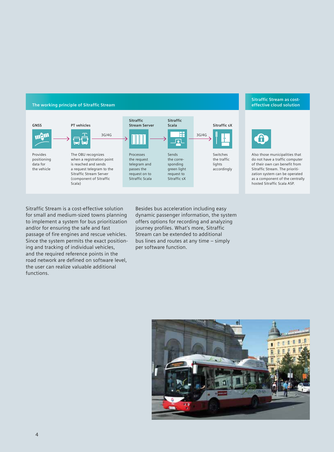#### **The working principle of Sitraffic Stream**



#### **Sitraffic Stream as costeffective cloud solution**



Also those municipalities that do not have a traffic computer of their own can benefit from Sitraffic Stream. The prioritization system can be operated as a component of the centrally hosted Sitraffic Scala ASP.

Sitraffic Stream is a cost-effective solution for small and medium-sized towns planning to implement a system for bus prioritization and/or for ensuring the safe and fast passage of fire engines and rescue vehicles. Since the system permits the exact positioning and tracking of individual vehicles, and the required reference points in the road network are defined on software level, the user can realize valuable additional functions.

Besides bus acceleration including easy dynamic passenger information, the system offers options for recording and analyzing journey profiles. What's more, Sitraffic Stream can be extended to additional bus lines and routes at any time – simply per software function.

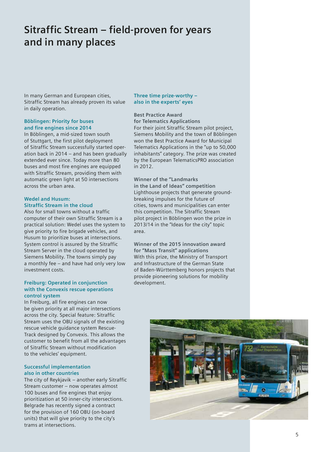## **Sitraffic Stream – field-proven for years and in many places**

In many German and European cities, Sitraffic Stream has already proven its value in daily operation.

## **Böblingen: Priority for buses and fire engines since 2014**

In Böblingen, a mid-sized town south of Stuttgart, the first pilot deployment of Sitraffic Stream successfully started operation back in 2014 – and has been gradually extended ever since. Today more than 80 buses and most fire engines are equipped with Sitraffic Stream, providing them with automatic green light at 50 intersections across the urban area.

## **Wedel and Husum: Sitraffic Stream in the cloud**

Also for small towns without a traffic computer of their own Sitraffic Stream is a practical solution: Wedel uses the system to give priority to fire brigade vehicles, and Husum to prioritize buses at intersections. System control is assured by the Sitraffic Stream Server in the cloud operated by Siemens Mobility. The towns simply pay a monthly fee – and have had only very low investment costs.

## **Freiburg: Operated in conjunction with the Convexis rescue operations control system**

In Freiburg, all fire engines can now be given priority at all major intersections across the city. Special feature: Sitraffic Stream uses the OBU signals of the existing rescue vehicle guidance system Rescue-Track designed by Convexis. This allows the customer to benefit from all the advantages of Sitraffic Stream without modification to the vehicles' equipment.

### **Successful implementation also in other countries**

The city of Reykjavik – another early Sitraffic Stream customer – now operates almost 100 buses and fire engines that enjoy prioritization at 50 inner-city intersections. Belgrade has recently signed a contract for the provision of 160 OBU (on-board units) that will give priority to the city's trams at intersections.

## **Three time prize-worthy – also in the experts' eyes**

**Best Practice Award for Telematics Applications** For their joint Sitraffic Stream pilot project, Siemens Mobility and the town of Böblingen won the Best Practice Award for Municipal Telematics Applications in the "up to 50,000 inhabitants" category. The prize was created by the European TelematicsPRO association in 2012.

**Winner of the "Landmarks in the Land of Ideas" competition** Lighthouse projects that generate groundbreaking impulses for the future of cities, towns and municipalities can enter this competition. The Sitraffic Stream pilot project in Böblingen won the prize in 2013/14 in the "Ideas for the city" topic area.

**Winner of the 2015 innovation award for "Mass Transit" applications** With this prize, the Ministry of Transport and Infrastructure of the German State of Baden-Württemberg honors projects that provide pioneering solutions for mobility development.